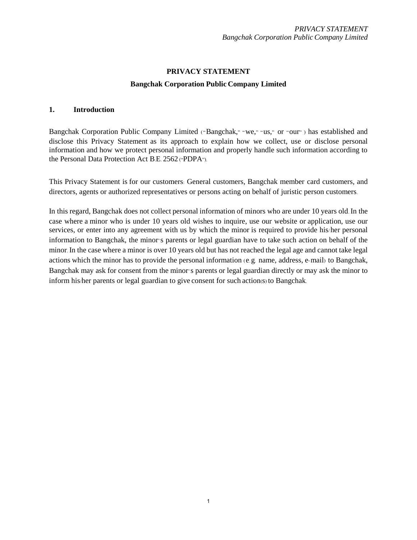# **PRIVACY STATEMENT Bangchak Corporation Public Company Limited**

## **1. Introduction**

Bangchak Corporation Public Company Limited ("Bangchak," "we," "us," or "our") has established and disclose this Privacy Statement as its approach to explain how we collect, use or disclose personal information and how we protect personal information and properly handle such information according to the Personal Data Protection Act B.E. 2562 ("PDPA").

This Privacy Statement is for our customers: General customers, Bangchak member card customers, and directors, agents or authorized representatives or persons acting on behalf of juristic person customers.

In this regard, Bangchak does not collect personal information of minors who are under 10 years old. In the case where a minor who is under 10 years old wishes to inquire, use our website or application, use our services, or enter into any agreement with us by which the minor is required to provide his/her personal information to Bangchak, the minor's parents or legal guardian have to take such action on behalf of the minor. In the case where a minor is over 10 years old but has not reached the legal age and cannot take legal actions which the minor has to provide the personal information (e.g. name, address, e-mail) to Bangchak, Bangchak may ask for consent from the minor's parents or legal guardian directly or may ask the minor to inform his/her parents or legal guardian to give consent for such action(s) to Bangchak.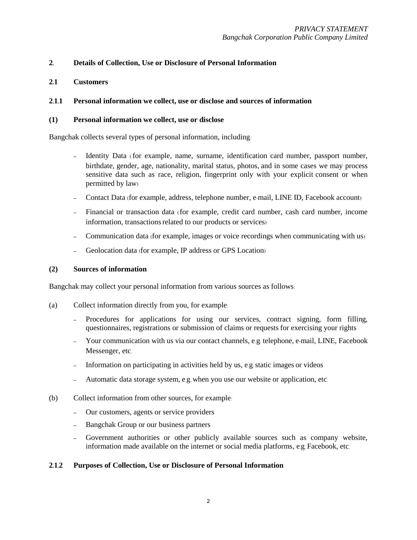## **2. Details of Collection, Use or Disclosure of Personal Information**

**2.1 Customers**

#### **2.1.1 Personal information we collect, use or disclose and sources of information**

#### **(1) Personal information we collect, use or disclose**

Bangchak collects several types of personal information, including:

- Identity Data (for example, name, surname, identification card number, passport number, birthdate, gender, age, nationality, marital status, photos, and in some cases we may process sensitive data such as race, religion, fingerprint only with your explicit consent or when permitted by law)
- Contact Data (for example, address, telephone number, e-mail, LINE ID, Facebook account)
- Financial or transaction data (for example, credit card number, cash card number, income information, transactions related to our products or services)
- Communication data (for example, images or voice recordings when communicating with us)
- Geolocation data (for example, IP address or GPS Location)

#### **(2) Sources of information**

Bangchak may collect your personal information from various sources as follows:

- (a) Collect information directly from you, for example:
	- Procedures for applications for using our services, contract signing, form filling, questionnaires, registrations or submission of claims or requests for exercising your rights
	- Your communication with us via our contact channels, e.g. telephone, e-mail, LINE, Facebook Messenger, etc.
	- Information on participating in activities held by us, e.g.static images or videos
	- Automatic data storage system, e.g. when you use our website or application, etc.
- (b) Collect information from other sources, for example:
	- Our customers, agents or service providers
	- Bangchak Group or our business partners
	- Government authorities or other publicly available sources such as company website, information made available on the internet or social media platforms, e.g. Facebook, etc.

#### **2.1.2 Purposes of Collection, Use or Disclosure of Personal Information**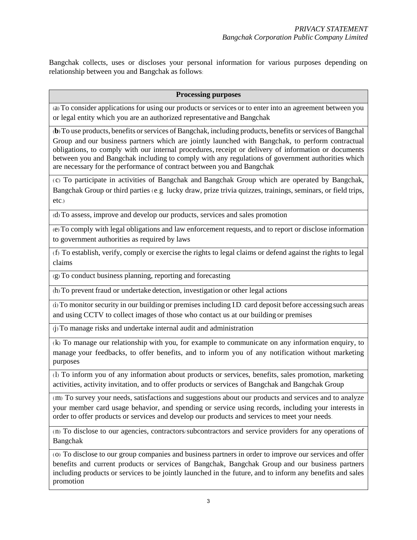Bangchak collects, uses or discloses your personal information for various purposes depending on relationship between you and Bangchak as follows:

#### **Processing purposes**

(a) To consider applications for using our products or services or to enter into an agreement between you or legal entity which you are an authorized representative and Bangchak

(**b**) To use products, benefits or services of Bangchak, including products, benefits orservices of Bangchal Group and our business partners which are jointly launched with Bangchak, to perform contractual obligations, to comply with our internal procedures, receipt or delivery of information or documents between you and Bangchak including to comply with any regulations of government authorities which are necessary for the performance of contract between you and Bangchak

( c) To participate in activities of Bangchak and Bangchak Group which are operated by Bangchak, Bangchak Group or third parties (e.g. lucky draw, prize trivia quizzes, trainings, seminars, or field trips, etc.)

(d) To assess, improve and develop our products, services and sales promotion

(e) To comply with legal obligations and law enforcement requests, and to report or disclose information to government authorities as required by laws

(f) To establish, verify, comply or exercise the rights to legal claims or defend against the rights to legal claims

(g) To conduct business planning, reporting and forecasting

(h) To prevent fraud or undertake detection, investigation or other legal actions

(i) To monitor security in our building or premises including I.D. card deposit before accessingsuch areas and using CCTV to collect images of those who contact us at our building or premises

(j) To manage risks and undertake internal audit and administration

(k) To manage our relationship with you, for example to communicate on any information enquiry, to manage your feedbacks, to offer benefits, and to inform you of any notification without marketing purposes

(l) To inform you of any information about products or services, benefits, sales promotion, marketing activities, activity invitation, and to offer products or services of Bangchak and Bangchak Group

(m) To survey your needs, satisfactions and suggestions about our products and services and to analyze your member card usage behavior, and spending or service using records, including your interests in order to offer products or services and develop our products and services to meet your needs.

(n) To disclose to our agencies, contractors/subcontractors and service providers for any operations of Bangchak

(o) To disclose to our group companies and business partners in order to improve our services and offer benefits and current products or services of Bangchak, Bangchak Group and our business partners including products or services to be jointly launched in the future, and to inform any benefits and sales promotion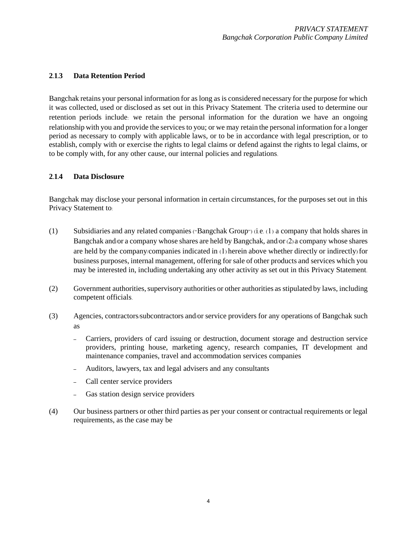## **2.1.3 Data Retention Period**

Bangchak retains your personal information for as long as is considered necessary for the purpose for which it was collected, used or disclosed as set out in this Privacy Statement. The criteria used to determine our retention periods include: we retain the personal information for the duration we have an ongoing relationship with you and provide the services to you; or we may retain the personal information for a longer period as necessary to comply with applicable laws, or to be in accordance with legal prescription, or to establish, comply with or exercise the rights to legal claims or defend against the rights to legal claims, or to be comply with, for any other cause, our internal policies and regulations.

## **2.1.4 Data Disclosure**

Bangchak may disclose your personal information in certain circumstances, for the purposes set out in this Privacy Statement to:

- (1) Subsidiaries and any related companies ("Bangchak Group") (i.e. (1) a company that holds shares in Bangchak and/or a company whose shares are held by Bangchak, and/or (2) a company whose shares are held by the company/companies indicated in (1) herein above whether directly or indirectly) for business purposes, internal management, offering for sale of other products and services which you may be interested in, including undertaking any other activity as set out in this Privacy Statement.
- (2) Government authorities, supervisory authorities or other authorities as stipulated by laws, including competent officials.
- (3) Agencies, contractors/subcontractors and/or service providers for any operations of Bangchak such as
	- Carriers, providers of card issuing or destruction, document storage and destruction service providers, printing house, marketing agency, research companies, IT development and maintenance companies, travel and accommodation services companies
	- Auditors, lawyers, tax and legal advisers and any consultants
	- Call center service providers
	- Gas station design service providers
- (4) Our business partners or other third parties as per your consent or contractual requirements or legal requirements, as the case may be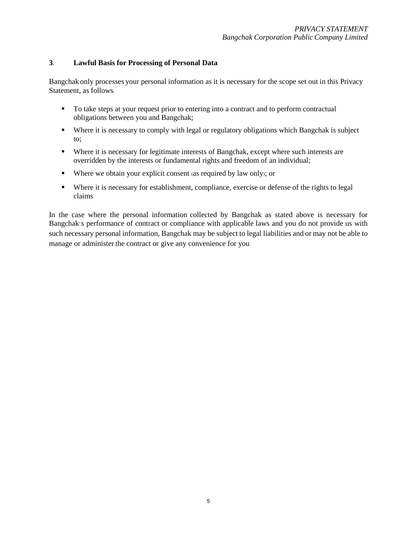## **3. Lawful Basis for Processing of Personal Data**

Bangchak only processes your personal information as it is necessary for the scope set out in this Privacy Statement, as follows:

- To take steps at your request prior to entering into a contract and to perform contractual obligations between you and Bangchak;
- Where it is necessary to comply with legal or regulatory obligations which Bangchak is subject to;
- Where it is necessary for legitimate interests of Bangchak, except where such interests are overridden by the interests or fundamental rights and freedom of an individual;
- Where we obtain your explicit consent (as required by law only); or
- Where it is necessary for establishment, compliance, exercise or defense of the rights to legal claims.

In the case where the personal information collected by Bangchak as stated above is necessary for Bangchak's performance of contract or compliance with applicable laws and you do not provide us with such necessary personal information, Bangchak may be subject to legal liabilities and/or may not be able to manage or administer the contract or give any convenience for you.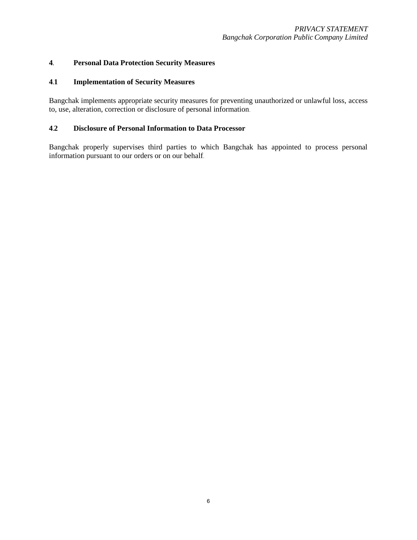## **4. Personal Data Protection Security Measures**

## **4.1 Implementation of Security Measures**

Bangchak implements appropriate security measures for preventing unauthorized or unlawful loss, access to, use, alteration, correction or disclosure of personal information.

# **4.2 Disclosure of Personal Information to Data Processor**

Bangchak properly supervises third parties to which Bangchak has appointed to process personal information pursuant to our orders or on our behalf.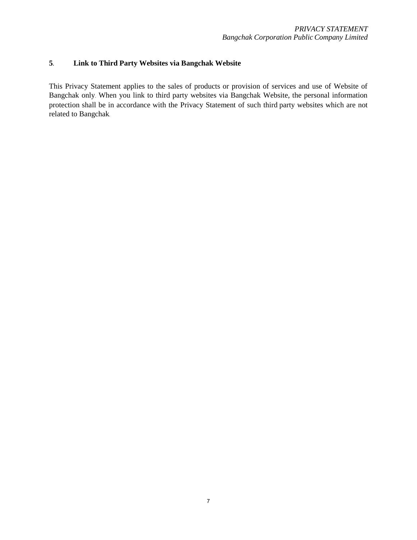# **5. Link to Third Party Websites via Bangchak Website**

This Privacy Statement applies to the sales of products or provision of services and use of Website of Bangchak only. When you link to third party websites via Bangchak Website, the personal information protection shall be in accordance with the Privacy Statement of such third party websites which are not related to Bangchak.